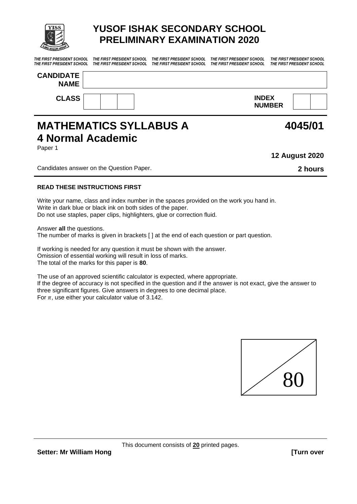

# **YUSOF ISHAK SECONDARY SCHOOL PRELIMINARY EXAMINATION 2020**

*THE FIRST PRESIDENT SCHOOL THE FIRST PRESIDENT SCHOOL THE FIRST PRESIDENT SCHOOL THE FIRST PRESIDENT SCHOOL THE FIRST PRESIDENT SCHOOL* 

*THE FIRST PRESIDENT SCHOOL THE FIRST PRESIDENT SCHOOL THE FIRST PRESIDENT SCHOOL THE FIRST PRESIDENT SCHOOL THE FIRST PRESIDENT SCHOOL* 

| <b>CANDIDATE</b><br><b>NAME</b> |                               |  |
|---------------------------------|-------------------------------|--|
| <b>CLASS</b>                    | <b>INDEX</b><br><b>NUMBER</b> |  |

## **MATHEMATICS SYLLABUS A 4 Normal Academic** Paper 1

**12 August 2020**

Candidates answer on the Question Paper. **2 hours**

#### **READ THESE INSTRUCTIONS FIRST**

Write your name, class and index number in the spaces provided on the work you hand in. Write in dark blue or black ink on both sides of the paper. Do not use staples, paper clips, highlighters, glue or correction fluid.

Answer **all** the questions.

The number of marks is given in brackets [ ] at the end of each question or part question.

If working is needed for any question it must be shown with the answer. Omission of essential working will result in loss of marks. The total of the marks for this paper is **80**.

The use of an approved scientific calculator is expected, where appropriate. If the degree of accuracy is not specified in the question and if the answer is not exact, give the answer to three significant figures. Give answers in degrees to one decimal place. For  $\pi$ , use either your calculator value of 3.142.



**4045/01**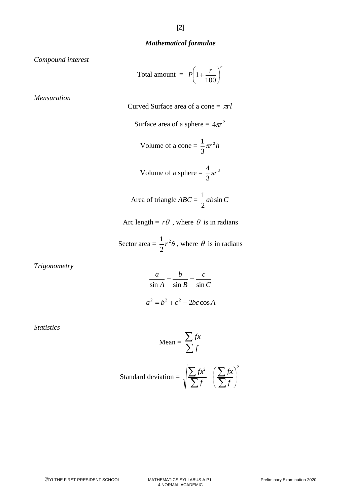#### *Mathematical formulae*

*Compound interest*

Total amount = 
$$
P\left(1 + \frac{r}{100}\right)^n
$$

*Mensuration*

Curved Surface area of a cone  $= \pi r l$ 

Surface area of a sphere = 
$$
4\pi r^2
$$

Volume of a cone = 
$$
\frac{1}{3}\pi r^2 h
$$

Volume of a sphere = 
$$
\frac{4}{3}\pi r^3
$$

Area of triangle 
$$
ABC = \frac{1}{2}ab\sin C
$$

Arc length =  $r\theta$ , where  $\theta$  is in radians

$$
Sector area = \frac{1}{2}r^2\theta
$$
, where  $\theta$  is in radians

*Trigonometry*

$$
\frac{a}{\sin A} = \frac{b}{\sin B} = \frac{c}{\sin C}
$$

$$
a^2 = b^2 + c^2 - 2bc \cos A
$$

*Statistics*

Mean = 
$$
\frac{\sum fx}{\sum f}
$$

Standard deviation = 
$$
\sqrt{\frac{\sum fx^2}{\sum f} - \left(\frac{\sum fx}{\sum f}\right)^2}
$$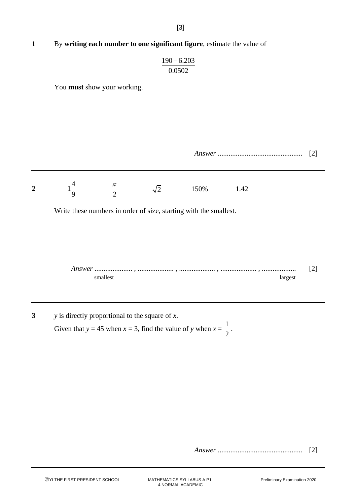## **1** By **writing each number to one significant figure**, estimate the value of

$$
\frac{190 - 6.203}{0.0502}
$$

You **must** show your working.

| Answer |  |  |
|--------|--|--|
|--------|--|--|



Write these numbers in order of size, starting with the smallest.

| Answer |  |
|--------|--|
|        |  |

**3** *y* is directly proportional to the square of *x*.

Given that  $y = 45$  when  $x = 3$ , find the value of y when  $x = \frac{1}{2}$ 2 .

*Answer* ............................................... [2]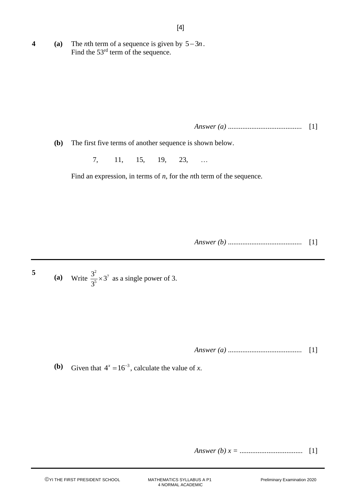**4 (a)** The *n*th term of a sequence is given by  $5-3n$ . Find the 53<sup>rd</sup> term of the sequence.

*Answer (a)* ......................................... [1]

**(b)** The first five terms of another sequence is shown below.

7, 11, 15, 19, 23, …

Find an expression, in terms of *n*, for the *n*th term of the sequence.

*Answer (b)* ......................................... [1]

5 (a) Write 
$$
\frac{3^2}{3^5} \times 3^7
$$
 as a single power of 3.

*Answer (a)* ......................................... [1]

**(b)** Given that  $4^x = 16^{-3}$ , calculate the value of *x*.

*Answer (b) x =* ................................... [1]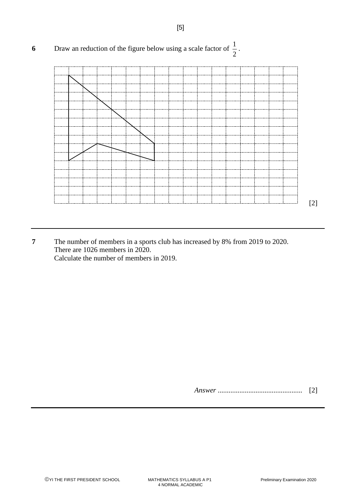

**7** The number of members in a sports club has increased by 8% from 2019 to 2020. There are 1026 members in 2020. Calculate the number of members in 2019.

*Answer* ............................................... [2]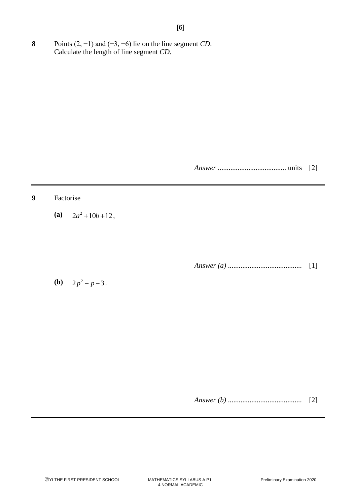**8** Points (2, −1) and (−3, −6) lie on the line segment *CD*. Calculate the length of line segment *CD*.

*Answer* ...................................... units [2]

### **9** Factorise

(a)  $2a^2 + 10b + 12$ ,

*Answer (a)* ......................................... [1]

**(b)**  $2p^2 - p - 3$ .

*Answer (b)* ......................................... [2]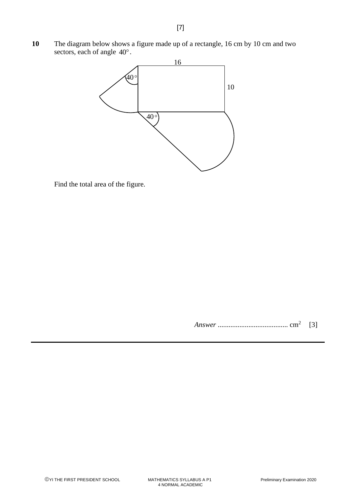**10** The diagram below shows a figure made up of a rectangle, 16 cm by 10 cm and two sectors, each of angle  $40^{\circ}$ .



Find the total area of the figure.

*Answer* ....................................... cm<sup>2</sup> [3]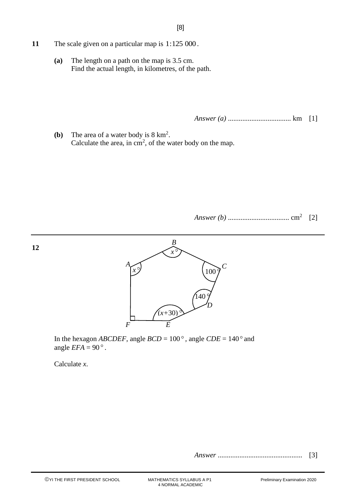- **11** The scale given on a particular map is 1:125 000 .
	- **(a)** The length on a path on the map is 3.5 cm. Find the actual length, in kilometres, of the path.

*Answer (a)* ................................... km [1]

**(b)** The area of a water body is 8 km<sup>2</sup> . Calculate the area, in  $\text{cm}^2$ , of the water body on the map.

*Answer (b)* .................................. cm<sup>2</sup> [2]



In the hexagon *ABCDEF*, angle  $BCD = 100^\circ$ , angle  $CDE = 140^\circ$  and angle  $EFA = 90^\circ$ .

Calculate *x*.

**12**

*Answer* ............................................... [3]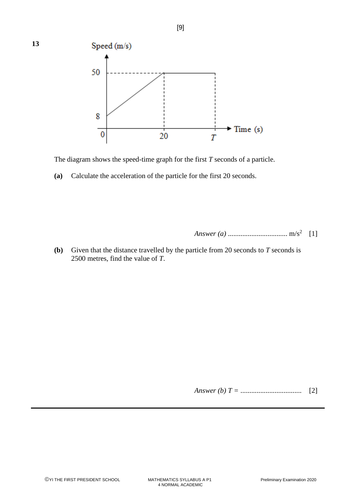

The diagram shows the speed-time graph for the first *T* seconds of a particle.

**(a)** Calculate the acceleration of the particle for the first 20 seconds.

*Answer (a)* ................................. m/s<sup>2</sup> [1]

**(b)** Given that the distance travelled by the particle from 20 seconds to *T* seconds is 2500 metres, find the value of *T*.

*Answer (b) T =* .................................. [2]

**13**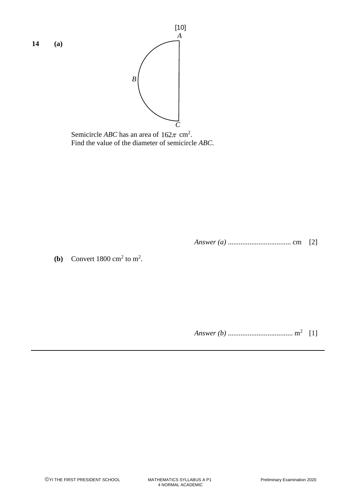



Semicircle *ABC* has an area of  $162\pi$  cm<sup>2</sup>. Find the value of the diameter of semicircle *ABC*.

*Answer (a)* ................................... cm [2]

**(b)** Convert  $1800 \text{ cm}^2$  to  $\text{m}^2$ .

*Answer (b)* .................................... m<sup>2</sup> [1]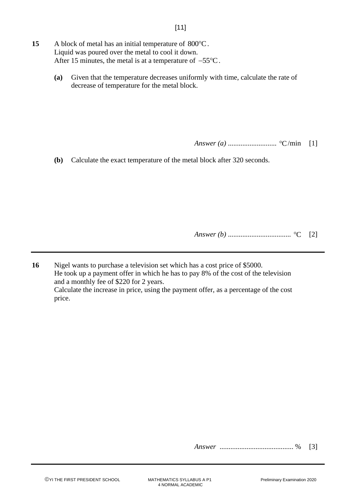- 15 A block of metal has an initial temperature of 800°C. Liquid was poured over the metal to cool it down. After 15 minutes, the metal is at a temperature of  $-55^{\circ}\text{C}$ .
	- **(a)** Given that the temperature decreases uniformly with time, calculate the rate of decrease of temperature for the metal block.

*Answer (a)* ........................... C /min [1]

**(b)** Calculate the exact temperature of the metal block after 320 seconds.

*Answer (b)* ................................... C [2]

**16** Nigel wants to purchase a television set which has a cost price of \$5000. He took up a payment offer in which he has to pay 8% of the cost of the television and a monthly fee of \$220 for 2 years. Calculate the increase in price, using the payment offer, as a percentage of the cost price.

*Answer* ......................................... % [3]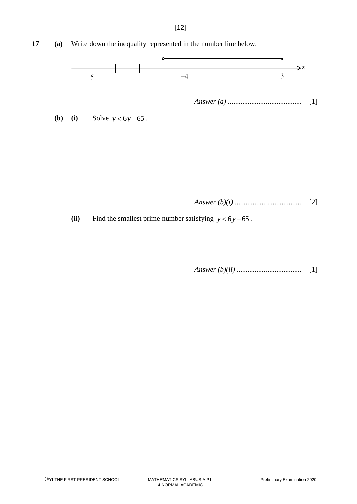

*Answer (b)(i)* ..................................... [2]

(ii) Find the smallest prime number satisfying  $y < 6y - 65$ .

*Answer (b)(ii)* .................................... [1]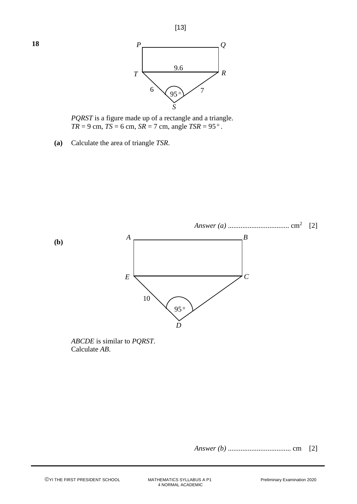

*PQRST* is a figure made up of a rectangle and a triangle.  $TR = 9$  cm,  $TS = 6$  cm,  $SR = 7$  cm, angle  $TSR = 95^\circ$ .

**(a)** Calculate the area of triangle *TSR*.



*ABCDE* is similar to *PQRST*. Calculate *AB*.

*Answer (b)* ................................... cm [2]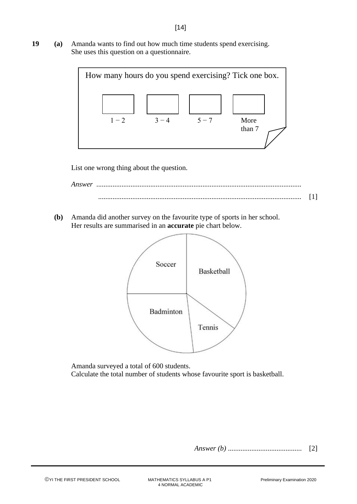**19 (a)** Amanda wants to find out how much time students spend exercising. She uses this question on a questionnaire.



List one wrong thing about the question.



**(b)** Amanda did another survey on the favourite type of sports in her school. Her results are summarised in an **accurate** pie chart below.



Amanda surveyed a total of 600 students. Calculate the total number of students whose favourite sport is basketball.

*Answer (b)* ......................................... [2]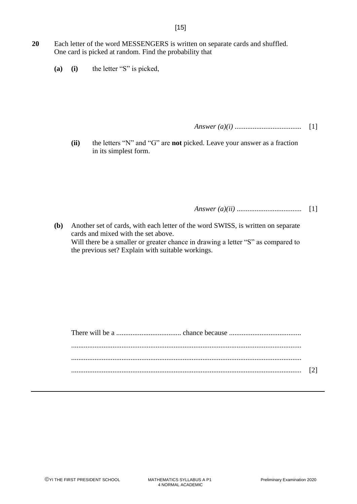- **20** Each letter of the word MESSENGERS is written on separate cards and shuffled. One card is picked at random. Find the probability that
	- **(a) (i)** the letter "S" is picked,

*Answer (a)(i)* ..................................... [1]

**(ii)** the letters "N" and "G" are **not** picked. Leave your answer as a fraction in its simplest form.

*Answer (a)(ii)* .................................... [1]

**(b)** Another set of cards, with each letter of the word SWISS, is written on separate cards and mixed with the set above. Will there be a smaller or greater chance in drawing a letter "S" as compared to the previous set? Explain with suitable workings.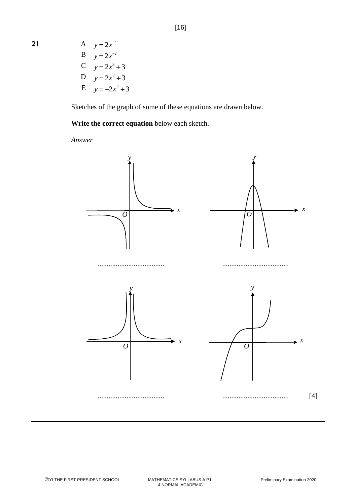**21** 

 $y = 2x^{-1}$ **B**  $y = 2x^{-2}$ C  $y = 2x^3 + 3$  $D y = 2x^2 + 3$ E  $y = -2x^2 + 3$ 

Sketches of the graph of some of these equations are drawn below.

**Write the correct equation** below each sketch.

*Answer*

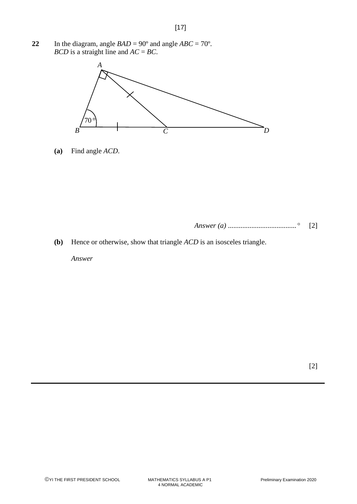22 In the diagram, angle  $BAD = 90^\circ$  and angle  $ABC = 70^\circ$ . *BCD* is a straight line and *AC* = *BC*.



**(a)** Find angle *ACD*.

*Answer (a)* ...................................... [2]

**(b)** Hence or otherwise, show that triangle *ACD* is an isosceles triangle.

*Answer*

[2]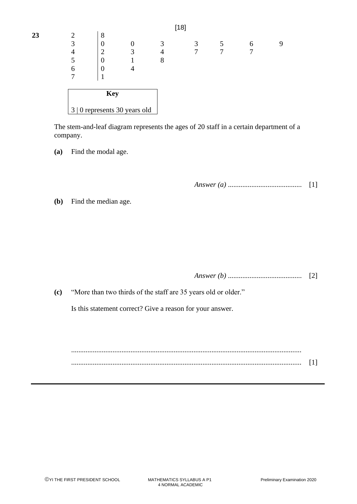|    |                                             |   |  |   | . . |   |   |
|----|---------------------------------------------|---|--|---|-----|---|---|
| 23 |                                             | 8 |  |   |     |   |   |
|    |                                             | V |  | 2 | 3   | 6 | 9 |
|    | 4                                           | ∽ |  | 4 |     |   |   |
|    |                                             | v |  | 8 |     |   |   |
|    | 6                                           | v |  |   |     |   |   |
|    |                                             |   |  |   |     |   |   |
|    |                                             |   |  |   |     |   |   |
|    | <b>Key</b><br>3   0 represents 30 years old |   |  |   |     |   |   |
|    |                                             |   |  |   |     |   |   |

[18]

The stem-and-leaf diagram represents the ages of 20 staff in a certain department of a company.

**(a)** Find the modal age.

*Answer (a)* ......................................... [1]

**(b)** Find the median age.

*Answer (b)* ......................................... [2]

**(c)** "More than two thirds of the staff are 35 years old or older."

Is this statement correct? Give a reason for your answer.

................................................................................................................................ ................................................................................................................................ [1]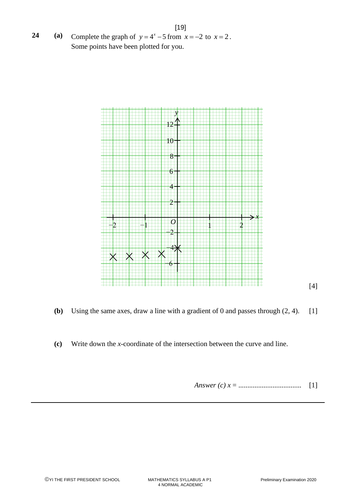[19] **24 (a)** Complete the graph of  $y = 4^x - 5$  from  $x = -2$  to  $x = 2$ . Some points have been plotted for you.



- **(b)** Using the same axes, draw a line with a gradient of 0 and passes through (2, 4). [1]
- **(c)** Write down the *x*-coordinate of the intersection between the curve and line.

Answer (c) 
$$
x =
$$
................. [1]